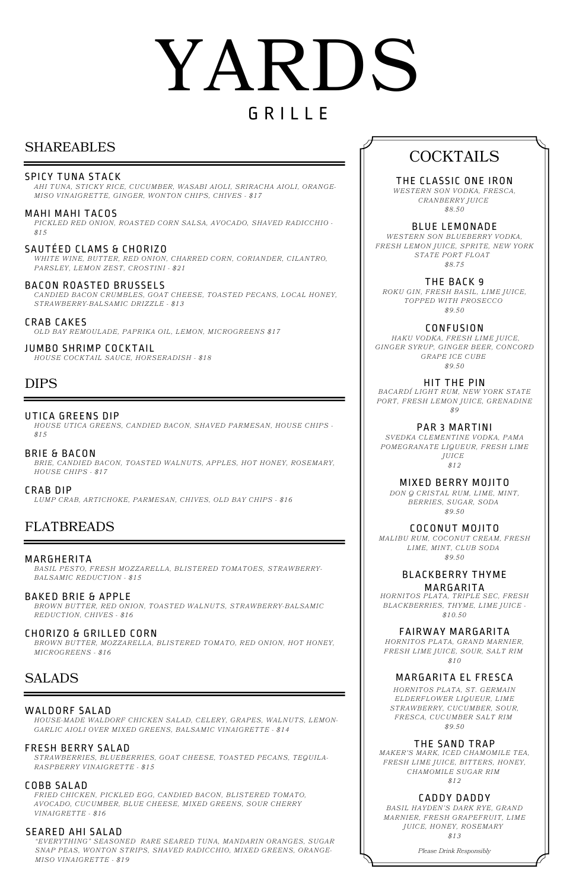# SHAREABLES

#### MAHI MAHI TACOS

*PICKLED RED ONION, ROASTED CORN SALSA, AVOCADO, SHAVED RADICCHIO - \$15*

#### SPICY TUNA STACK

# YARDS G R I L L E

*AHI TUNA, STICKY RICE, CUCUMBER, WASABI AIOLI, SRIRACHA AIOLI, ORANGE-MISO VINAIGRETTE, GINGER, WONTON CHIPS, CHIVES - \$17*

JUMBO SHRIMP COCKTAIL

*HOUSE COCKTAIL SAUCE, HORSERADISH - \$18*

# COCKTAILS

BLUE LEMONADE *WESTERN SON BLUEBERRY VODKA, FRESH LEMON JUICE, SPRITE, NEW YORK STATE PORT FLOAT \$8.75*

THE BACK 9 *ROKU GIN, FRESH BASIL, LIME JUICE, TOPPED WITH PROSECCO \$9.50*

#### CONFUSION

*HAKU VODKA, FRESH LIME JUICE, GINGER SYRUP, GINGER BEER, CONCORD GRAPE ICE CUBE \$9.50*

HIT THE PIN *BACARDÍ LIGHT RUM, NEW YORK STATE PORT, FRESH LEMON JUICE, GRENADINE \$9*

PAR 3 MARTINI *SVEDKA CLEMENTINE VODKA, PAMA POMEGRANATE LIQUEUR, FRESH LIME JUICE \$12*

MIXED BERRY MOJITO *DON Q CRISTAL RUM, LIME, MINT, BERRIES, SUGAR, SODA \$9.50*

BLACKBERRY THYME MARGARITA *HORNITOS PLATA, TRIPLE SEC, FRESH BLACKBERRIES, THYME, LIME JUICE -*

*\$10.50*

FAIRWAY MARGARITA

*HORNITOS PLATA, GRAND MARNIER, FRESH LIME JUICE, SOUR, SALT RIM*

*\$10*

#### MARGARITA EL FRESCA

*HORNITOS PLATA, ST. GERMAIN ELDERFLOWER LIQUEUR, LIME STRAWBERRY, CUCUMBER, SOUR, FRESCA, CUCUMBER SALT RIM \$9.50*

#### THE SAND TRAP

*MAKER'S MARK, ICED CHAMOMILE TEA, FRESH LIME JUICE, BITTERS, HONEY, CHAMOMILE SUGAR RIM \$12*

#### CADDY DADDY

*BASIL HAYDEN'S DARK RYE, GRAND MARNIER, FRESH GRAPEFRUIT, LIME JUICE, HONEY, ROSEMARY \$13*

THE CLASSIC ONE IRON *WESTERN SON VODKA, FRESCA, CRANBERRY JUICE*

*\$8.50*

*Please Drink Responsibly*

COCONUT MOJITO *MALIBU RUM, COCONUT CREAM, FRESH LIME, MINT, CLUB SODA \$9.50*

#### BACON ROASTED BRUSSELS

*CANDIED BACON CRUMBLES, GOAT CHEESE, TOASTED PECANS, LOCAL HONEY, STRAWBERRY-BALSAMIC DRIZZLE - \$13*

SAUTÉED CLAMS & CHORIZO *WHITE WINE, BUTTER, RED ONION, CHARRED CORN, CORIANDER, CILANTRO, PARSLEY, LEMON ZEST, CROSTINI - \$21*

CRAB CAKES *OLD BAY REMOULADE, PAPRIKA OIL, LEMON, MICROGREENS \$17*

# DIPS

BRIE & BACON *BRIE, CANDIED BACON, TOASTED WALNUTS, APPLES, HOT HONEY, ROSEMARY, HOUSE CHIPS - \$17*

#### UTICA GREENS DIP

*HOUSE UTICA GREENS, CANDIED BACON, SHAVED PARMESAN, HOUSE CHIPS - \$15*

CRAB DIP *LUMP CRAB, ARTICHOKE, PARMESAN, CHIVES, OLD BAY CHIPS - \$16*

# FLATBREADS

BAKED BRIE & APPLE

*BROWN BUTTER, RED ONION, TOASTED WALNUTS, STRAWBERRY-BALSAMIC REDUCTION, CHIVES - \$16*

#### MARGHERITA

*BASIL PESTO, FRESH MOZZARELLA, BLISTERED TOMATOES, STRAWBERRY-BALSAMIC REDUCTION - \$15*

#### CHORIZO & GRILLED CORN

*BROWN BUTTER, MOZZARELLA, BLISTERED TOMATO, RED ONION, HOT HONEY, MICROGREENS - \$16*

## SALADS

#### FRESH BERRY SALAD

*STRAWBERRIES, BLUEBERRIES, GOAT CHEESE, TOASTED PECANS, TEQUILA-RASPBERRY VINAIGRETTE - \$15*

#### WALDORF SALAD

*HOUSE-MADE WALDORF CHICKEN SALAD, CELERY, GRAPES, WALNUTS, LEMON-GARLIC AIOLI OVER MIXED GREENS, BALSAMIC VINAIGRETTE - \$14*

#### COBB SALAD

*FRIED CHICKEN, PICKLED EGG, CANDIED BACON, BLISTERED TOMATO, AVOCADO, CUCUMBER, BLUE CHEESE, MIXED GREENS, SOUR CHERRY VINAIGRETTE - \$16*

#### SEARED AHI SALAD

*"EVERYTHING" SEASONED RARE SEARED TUNA, MANDARIN ORANGES, SUGAR SNAP PEAS, WONTON STRIPS, SHAVED RADICCHIO, MIXED GREENS, ORANGE-MISO VINAIGRETTE - \$19*